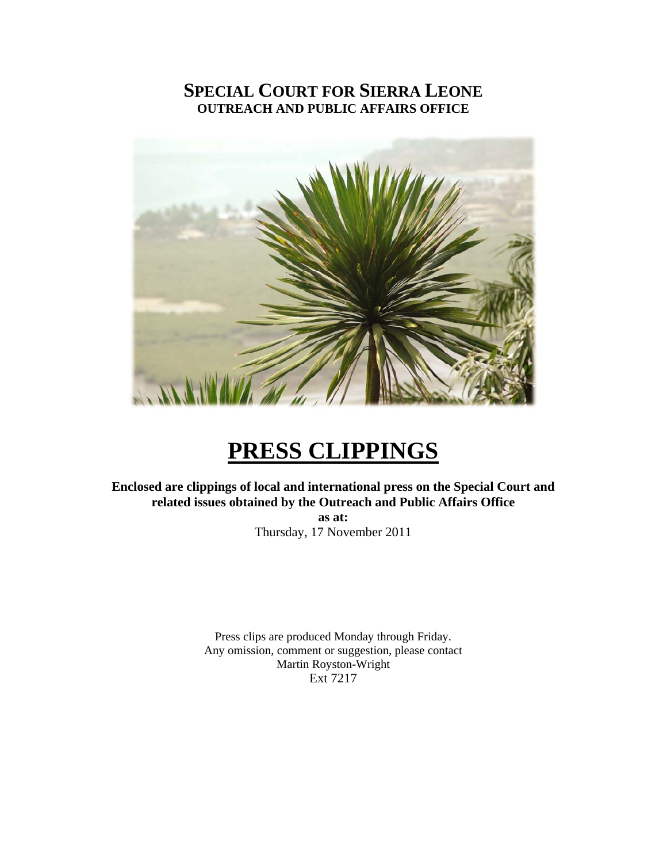## **SPECIAL COURT FOR SIERRA LEONE OUTREACH AND PUBLIC AFFAIRS OFFICE**



# **PRESS CLIPPINGS**

**Enclosed are clippings of local and international press on the Special Court and related issues obtained by the Outreach and Public Affairs Office as at:** 

Thursday, 17 November 2011

Press clips are produced Monday through Friday. Any omission, comment or suggestion, please contact Martin Royston-Wright Ext 7217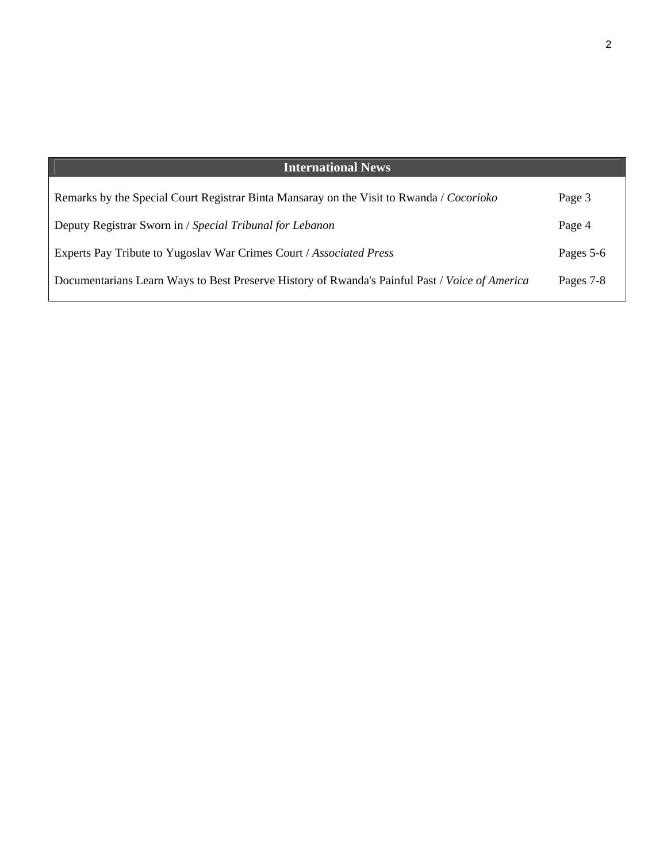| <b>International News</b>                                                                      |           |  |
|------------------------------------------------------------------------------------------------|-----------|--|
|                                                                                                |           |  |
| Remarks by the Special Court Registrar Binta Mansaray on the Visit to Rwanda / Cocorioko       | Page 3    |  |
| Deputy Registrar Sworn in / Special Tribunal for Lebanon                                       | Page 4    |  |
|                                                                                                |           |  |
| Experts Pay Tribute to Yugoslav War Crimes Court / Associated Press                            | Pages 5-6 |  |
| Documentarians Learn Ways to Best Preserve History of Rwanda's Painful Past / Voice of America | Pages 7-8 |  |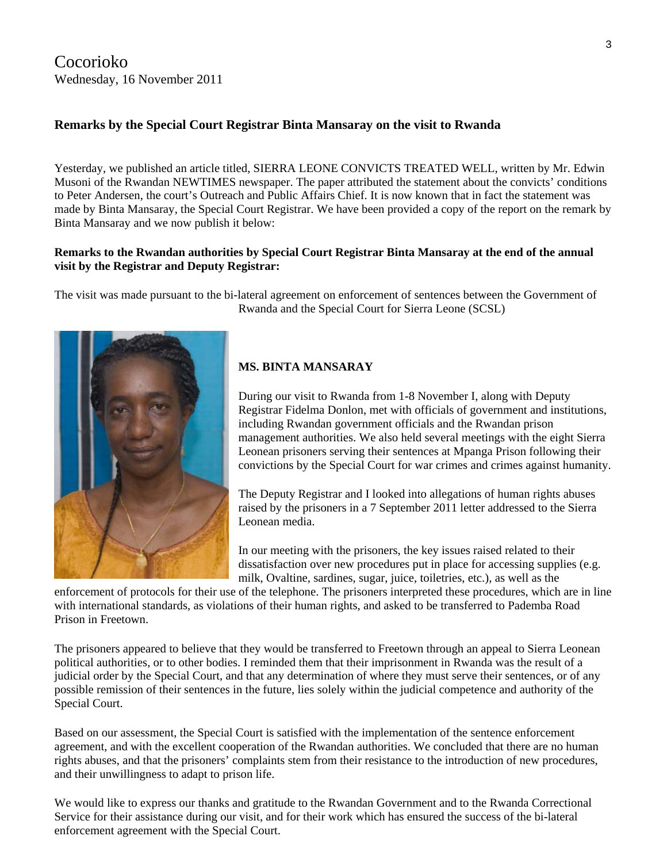Cocorioko Wednesday, 16 November 2011

#### **Remarks by the Special Court Registrar Binta Mansaray on the visit to Rwanda**

Yesterday, we published an article titled, SIERRA LEONE CONVICTS TREATED WELL, written by Mr. Edwin Musoni of the Rwandan NEWTIMES newspaper. The paper attributed the statement about the convicts' conditions to Peter Andersen, the court's Outreach and Public Affairs Chief. It is now known that in fact the statement was made by Binta Mansaray, the Special Court Registrar. We have been provided a copy of the report on the remark by Binta Mansaray and we now publish it below:

#### **Remarks to the Rwandan authorities by Special Court Registrar Binta Mansaray at the end of the annual visit by the Registrar and Deputy Registrar:**

The visit was made pursuant to the bi-lateral agreement on enforcement of sentences between the Government of Rwanda and the Special Court for Sierra Leone (SCSL)



#### **MS. BINTA MANSARAY**

During our visit to Rwanda from 1-8 November I, along with Deputy Registrar Fidelma Donlon, met with officials of government and institutions, including Rwandan government officials and the Rwandan prison management authorities. We also held several meetings with the eight Sierra Leonean prisoners serving their sentences at Mpanga Prison following their convictions by the Special Court for war crimes and crimes against humanity.

The Deputy Registrar and I looked into allegations of human rights abuses raised by the prisoners in a 7 September 2011 letter addressed to the Sierra Leonean media.

In our meeting with the prisoners, the key issues raised related to their dissatisfaction over new procedures put in place for accessing supplies (e.g. milk, Ovaltine, sardines, sugar, juice, toiletries, etc.), as well as the

enforcement of protocols for their use of the telephone. The prisoners interpreted these procedures, which are in line with international standards, as violations of their human rights, and asked to be transferred to Pademba Road Prison in Freetown.

The prisoners appeared to believe that they would be transferred to Freetown through an appeal to Sierra Leonean political authorities, or to other bodies. I reminded them that their imprisonment in Rwanda was the result of a judicial order by the Special Court, and that any determination of where they must serve their sentences, or of any possible remission of their sentences in the future, lies solely within the judicial competence and authority of the Special Court.

Based on our assessment, the Special Court is satisfied with the implementation of the sentence enforcement agreement, and with the excellent cooperation of the Rwandan authorities. We concluded that there are no human rights abuses, and that the prisoners' complaints stem from their resistance to the introduction of new procedures, and their unwillingness to adapt to prison life.

We would like to express our thanks and gratitude to the Rwandan Government and to the Rwanda Correctional Service for their assistance during our visit, and for their work which has ensured the success of the bi-lateral enforcement agreement with the Special Court.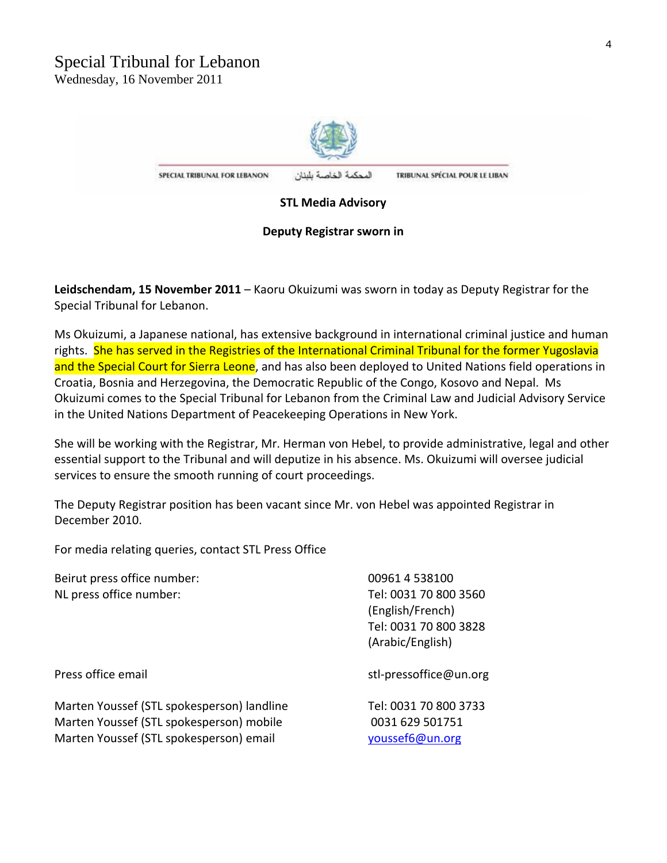

SPECIAL TRIBUNAL FOR LEBANON المحكمة الخاصة بلبنان TRIBUNAL SPÉCIAL POUR LE LIBAN

#### **STL Media Advisory**

#### **Deputy Registrar sworn in**

**Leidschendam, 15 November 2011** – Kaoru Okuizumi was sworn in today as Deputy Registrar for the Special Tribunal for Lebanon.

Ms Okuizumi, a Japanese national, has extensive background in international criminal justice and human rights. She has served in the Registries of the International Criminal Tribunal for the former Yugoslavia and the Special Court for Sierra Leone, and has also been deployed to United Nations field operations in Croatia, Bosnia and Herzegovina, the Democratic Republic of the Congo, Kosovo and Nepal. Ms Okuizumi comes to the Special Tribunal for Lebanon from the Criminal Law and Judicial Advisory Service in the United Nations Department of Peacekeeping Operations in New York.

She will be working with the Registrar, Mr. Herman von Hebel, to provide administrative, legal and other essential support to the Tribunal and will deputize in his absence. Ms. Okuizumi will oversee judicial services to ensure the smooth running of court proceedings.

The Deputy Registrar position has been vacant since Mr. von Hebel was appointed Registrar in December 2010.

For media relating queries, contact STL Press Office

| Beirut press office number:                | 00961 4 538100         |
|--------------------------------------------|------------------------|
| NL press office number:                    | Tel: 0031 70 800 3560  |
|                                            | (English/French)       |
|                                            | Tel: 0031 70 800 3828  |
|                                            | (Arabic/English)       |
| Press office email                         | stl-pressoffice@un.org |
| Marten Youssef (STL spokesperson) landline | Tel: 0031 70 800 3733  |
| Marten Youssef (STL spokesperson) mobile   | 0031 629 501751        |
| Marten Youssef (STL spokesperson) email    | youssef6@un.org        |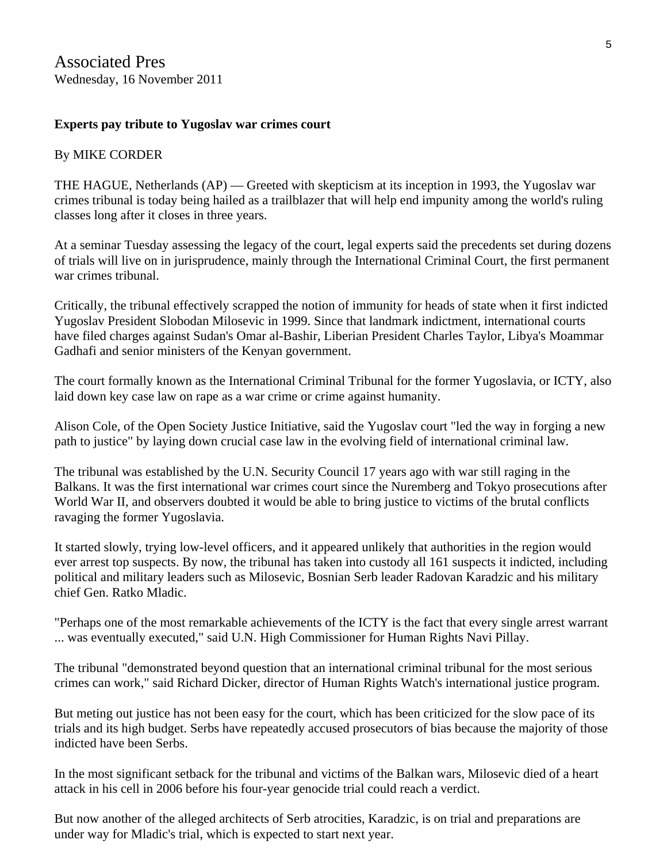## **Experts pay tribute to Yugoslav war crimes court**

## By MIKE CORDER

THE HAGUE, Netherlands (AP) — Greeted with skepticism at its inception in 1993, the Yugoslav war crimes tribunal is today being hailed as a trailblazer that will help end impunity among the world's ruling classes long after it closes in three years.

At a seminar Tuesday assessing the legacy of the court, legal experts said the precedents set during dozens of trials will live on in jurisprudence, mainly through the International Criminal Court, the first permanent war crimes tribunal.

Critically, the tribunal effectively scrapped the notion of immunity for heads of state when it first indicted Yugoslav President Slobodan Milosevic in 1999. Since that landmark indictment, international courts have filed charges against Sudan's Omar al-Bashir, Liberian President Charles Taylor, Libya's Moammar Gadhafi and senior ministers of the Kenyan government.

The court formally known as the International Criminal Tribunal for the former Yugoslavia, or ICTY, also laid down key case law on rape as a war crime or crime against humanity.

Alison Cole, of the Open Society Justice Initiative, said the Yugoslav court "led the way in forging a new path to justice" by laying down crucial case law in the evolving field of international criminal law.

The tribunal was established by the U.N. Security Council 17 years ago with war still raging in the Balkans. It was the first international war crimes court since the Nuremberg and Tokyo prosecutions after World War II, and observers doubted it would be able to bring justice to victims of the brutal conflicts ravaging the former Yugoslavia.

It started slowly, trying low-level officers, and it appeared unlikely that authorities in the region would ever arrest top suspects. By now, the tribunal has taken into custody all 161 suspects it indicted, including political and military leaders such as Milosevic, Bosnian Serb leader Radovan Karadzic and his military chief Gen. Ratko Mladic.

"Perhaps one of the most remarkable achievements of the ICTY is the fact that every single arrest warrant ... was eventually executed," said U.N. High Commissioner for Human Rights Navi Pillay.

The tribunal "demonstrated beyond question that an international criminal tribunal for the most serious crimes can work," said Richard Dicker, director of Human Rights Watch's international justice program.

But meting out justice has not been easy for the court, which has been criticized for the slow pace of its trials and its high budget. Serbs have repeatedly accused prosecutors of bias because the majority of those indicted have been Serbs.

In the most significant setback for the tribunal and victims of the Balkan wars, Milosevic died of a heart attack in his cell in 2006 before his four-year genocide trial could reach a verdict.

But now another of the alleged architects of Serb atrocities, Karadzic, is on trial and preparations are under way for Mladic's trial, which is expected to start next year.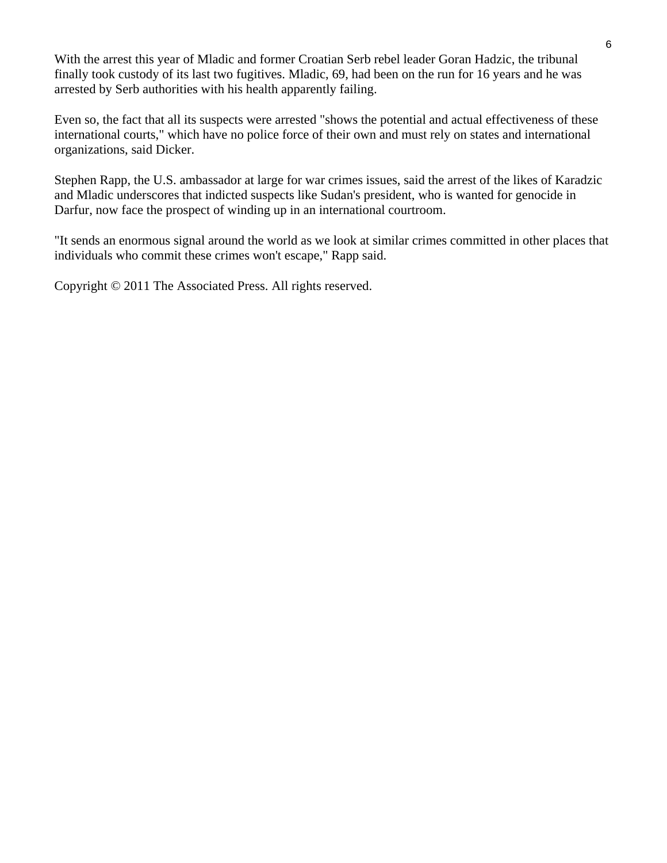With the arrest this year of Mladic and former Croatian Serb rebel leader Goran Hadzic, the tribunal finally took custody of its last two fugitives. Mladic, 69, had been on the run for 16 years and he was arrested by Serb authorities with his health apparently failing.

Even so, the fact that all its suspects were arrested "shows the potential and actual effectiveness of these international courts," which have no police force of their own and must rely on states and international organizations, said Dicker.

Stephen Rapp, the U.S. ambassador at large for war crimes issues, said the arrest of the likes of Karadzic and Mladic underscores that indicted suspects like Sudan's president, who is wanted for genocide in Darfur, now face the prospect of winding up in an international courtroom.

"It sends an enormous signal around the world as we look at similar crimes committed in other places that individuals who commit these crimes won't escape," Rapp said.

Copyright © 2011 The Associated Press. All rights reserved.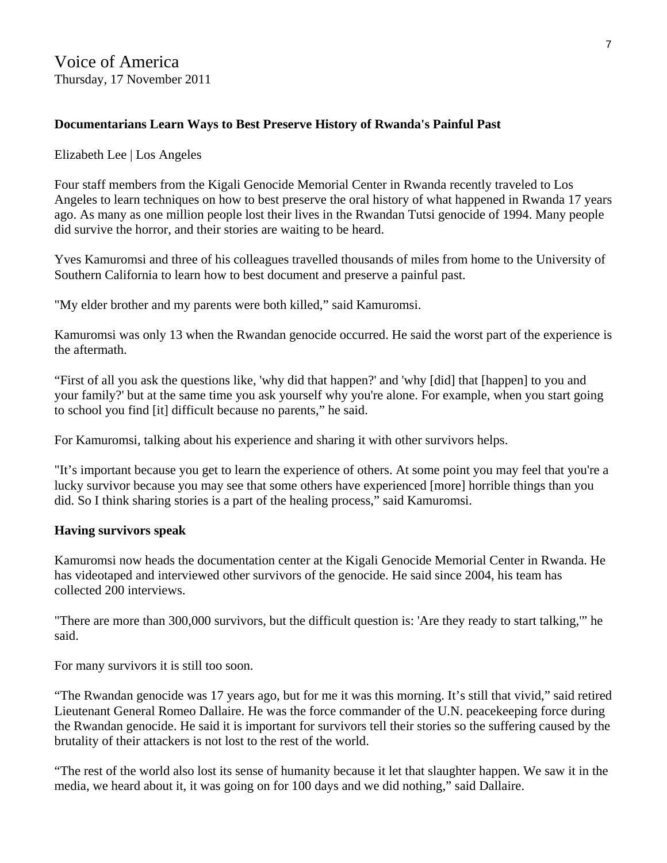## **Documentarians Learn Ways to Best Preserve History of Rwanda's Painful Past**

#### Elizabeth Lee | Los Angeles

Four staff members from the Kigali Genocide Memorial Center in Rwanda recently traveled to Los Angeles to learn techniques on how to best preserve the oral history of what happened in Rwanda 17 years ago. As many as one million people lost their lives in the Rwandan Tutsi genocide of 1994. Many people did survive the horror, and their stories are waiting to be heard.

Yves Kamuromsi and three of his colleagues travelled thousands of miles from home to the University of Southern California to learn how to best document and preserve a painful past.

"My elder brother and my parents were both killed," said Kamuromsi.

Kamuromsi was only 13 when the Rwandan genocide occurred. He said the worst part of the experience is the aftermath.

"First of all you ask the questions like, 'why did that happen?' and 'why [did] that [happen] to you and your family?' but at the same time you ask yourself why you're alone. For example, when you start going to school you find [it] difficult because no parents," he said.

For Kamuromsi, talking about his experience and sharing it with other survivors helps.

"It's important because you get to learn the experience of others. At some point you may feel that you're a lucky survivor because you may see that some others have experienced [more] horrible things than you did. So I think sharing stories is a part of the healing process," said Kamuromsi.

## **Having survivors speak**

Kamuromsi now heads the documentation center at the Kigali Genocide Memorial Center in Rwanda. He has videotaped and interviewed other survivors of the genocide. He said since 2004, his team has collected 200 interviews.

"There are more than 300,000 survivors, but the difficult question is: 'Are they ready to start talking,'" he said.

For many survivors it is still too soon.

"The Rwandan genocide was 17 years ago, but for me it was this morning. It's still that vivid," said retired Lieutenant General Romeo Dallaire. He was the force commander of the U.N. peacekeeping force during the Rwandan genocide. He said it is important for survivors tell their stories so the suffering caused by the brutality of their attackers is not lost to the rest of the world.

"The rest of the world also lost its sense of humanity because it let that slaughter happen. We saw it in the media, we heard about it, it was going on for 100 days and we did nothing," said Dallaire.